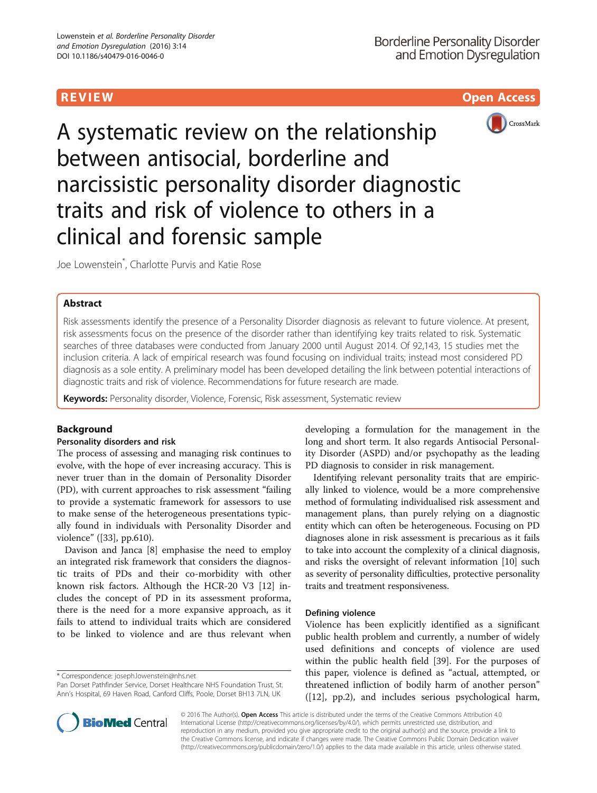R EVI EW Open Access



A systematic review on the relationship between antisocial, borderline and narcissistic personality disorder diagnostic traits and risk of violence to others in a clinical and forensic sample

Joe Lowenstein\* , Charlotte Purvis and Katie Rose

# Abstract

Risk assessments identify the presence of a Personality Disorder diagnosis as relevant to future violence. At present, risk assessments focus on the presence of the disorder rather than identifying key traits related to risk. Systematic searches of three databases were conducted from January 2000 until August 2014. Of 92,143, 15 studies met the inclusion criteria. A lack of empirical research was found focusing on individual traits; instead most considered PD diagnosis as a sole entity. A preliminary model has been developed detailing the link between potential interactions of diagnostic traits and risk of violence. Recommendations for future research are made.

Keywords: Personality disorder, Violence, Forensic, Risk assessment, Systematic review

# Background

## Personality disorders and risk

The process of assessing and managing risk continues to evolve, with the hope of ever increasing accuracy. This is never truer than in the domain of Personality Disorder (PD), with current approaches to risk assessment "failing to provide a systematic framework for assessors to use to make sense of the heterogeneous presentations typically found in individuals with Personality Disorder and violence" ([[33\]](#page-10-0), pp.610).

Davison and Janca [\[8](#page-10-0)] emphasise the need to employ an integrated risk framework that considers the diagnostic traits of PDs and their co-morbidity with other known risk factors. Although the HCR-20 V3 [\[12](#page-10-0)] includes the concept of PD in its assessment proforma, there is the need for a more expansive approach, as it fails to attend to individual traits which are considered to be linked to violence and are thus relevant when

\* Correspondence: [joseph.lowenstein@nhs.net](mailto:joseph.lowenstein@nhs.net)

developing a formulation for the management in the long and short term. It also regards Antisocial Personality Disorder (ASPD) and/or psychopathy as the leading PD diagnosis to consider in risk management.

Identifying relevant personality traits that are empirically linked to violence, would be a more comprehensive method of formulating individualised risk assessment and management plans, than purely relying on a diagnostic entity which can often be heterogeneous. Focusing on PD diagnoses alone in risk assessment is precarious as it fails to take into account the complexity of a clinical diagnosis, and risks the oversight of relevant information [[10](#page-10-0)] such as severity of personality difficulties, protective personality traits and treatment responsiveness.

## Defining violence

Violence has been explicitly identified as a significant public health problem and currently, a number of widely used definitions and concepts of violence are used within the public health field [\[39](#page-11-0)]. For the purposes of this paper, violence is defined as "actual, attempted, or threatened infliction of bodily harm of another person" ([\[12\]](#page-10-0), pp.2), and includes serious psychological harm,



© 2016 The Author(s). Open Access This article is distributed under the terms of the Creative Commons Attribution 4.0 International License [\(http://creativecommons.org/licenses/by/4.0/](http://creativecommons.org/licenses/by/4.0/)), which permits unrestricted use, distribution, and reproduction in any medium, provided you give appropriate credit to the original author(s) and the source, provide a link to the Creative Commons license, and indicate if changes were made. The Creative Commons Public Domain Dedication waiver [\(http://creativecommons.org/publicdomain/zero/1.0/](http://creativecommons.org/publicdomain/zero/1.0/)) applies to the data made available in this article, unless otherwise stated.

Pan Dorset Pathfinder Service, Dorset Healthcare NHS Foundation Trust, St. Ann's Hospital, 69 Haven Road, Canford Cliffs, Poole, Dorset BH13 7LN, UK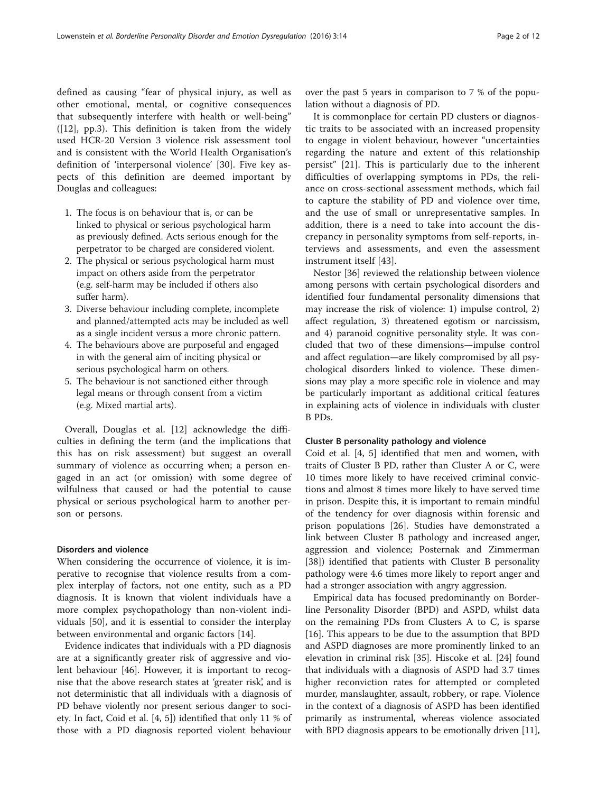defined as causing "fear of physical injury, as well as other emotional, mental, or cognitive consequences that subsequently interfere with health or well-being" ([\[12](#page-10-0)], pp.3). This definition is taken from the widely used HCR-20 Version 3 violence risk assessment tool and is consistent with the World Health Organisation's definition of 'interpersonal violence' [\[30](#page-10-0)]. Five key aspects of this definition are deemed important by Douglas and colleagues:

- 1. The focus is on behaviour that is, or can be linked to physical or serious psychological harm as previously defined. Acts serious enough for the perpetrator to be charged are considered violent.
- 2. The physical or serious psychological harm must impact on others aside from the perpetrator (e.g. self-harm may be included if others also suffer harm).
- 3. Diverse behaviour including complete, incomplete and planned/attempted acts may be included as well as a single incident versus a more chronic pattern.
- 4. The behaviours above are purposeful and engaged in with the general aim of inciting physical or serious psychological harm on others.
- 5. The behaviour is not sanctioned either through legal means or through consent from a victim (e.g. Mixed martial arts).

Overall, Douglas et al. [[12\]](#page-10-0) acknowledge the difficulties in defining the term (and the implications that this has on risk assessment) but suggest an overall summary of violence as occurring when; a person engaged in an act (or omission) with some degree of wilfulness that caused or had the potential to cause physical or serious psychological harm to another person or persons.

### Disorders and violence

When considering the occurrence of violence, it is imperative to recognise that violence results from a complex interplay of factors, not one entity, such as a PD diagnosis. It is known that violent individuals have a more complex psychopathology than non-violent individuals [[50\]](#page-11-0), and it is essential to consider the interplay between environmental and organic factors [\[14](#page-10-0)].

Evidence indicates that individuals with a PD diagnosis are at a significantly greater risk of aggressive and violent behaviour [\[46\]](#page-11-0). However, it is important to recognise that the above research states at 'greater risk', and is not deterministic that all individuals with a diagnosis of PD behave violently nor present serious danger to society. In fact, Coid et al. [\[4](#page-10-0), [5](#page-10-0)]) identified that only 11 % of those with a PD diagnosis reported violent behaviour

over the past 5 years in comparison to 7 % of the population without a diagnosis of PD.

It is commonplace for certain PD clusters or diagnostic traits to be associated with an increased propensity to engage in violent behaviour, however "uncertainties regarding the nature and extent of this relationship persist" [[21](#page-10-0)]. This is particularly due to the inherent difficulties of overlapping symptoms in PDs, the reliance on cross-sectional assessment methods, which fail to capture the stability of PD and violence over time, and the use of small or unrepresentative samples. In addition, there is a need to take into account the discrepancy in personality symptoms from self-reports, interviews and assessments, and even the assessment instrument itself [\[43](#page-11-0)].

Nestor [[36](#page-10-0)] reviewed the relationship between violence among persons with certain psychological disorders and identified four fundamental personality dimensions that may increase the risk of violence: 1) impulse control, 2) affect regulation, 3) threatened egotism or narcissism, and 4) paranoid cognitive personality style. It was concluded that two of these dimensions—impulse control and affect regulation—are likely compromised by all psychological disorders linked to violence. These dimensions may play a more specific role in violence and may be particularly important as additional critical features in explaining acts of violence in individuals with cluster B PDs.

#### Cluster B personality pathology and violence

Coid et al. [[4, 5\]](#page-10-0) identified that men and women, with traits of Cluster B PD, rather than Cluster A or C, were 10 times more likely to have received criminal convictions and almost 8 times more likely to have served time in prison. Despite this, it is important to remain mindful of the tendency for over diagnosis within forensic and prison populations [[26](#page-10-0)]. Studies have demonstrated a link between Cluster B pathology and increased anger, aggression and violence; Posternak and Zimmerman [[38\]](#page-11-0)) identified that patients with Cluster B personality pathology were 4.6 times more likely to report anger and had a stronger association with angry aggression.

Empirical data has focused predominantly on Borderline Personality Disorder (BPD) and ASPD, whilst data on the remaining PDs from Clusters A to C, is sparse [[16\]](#page-10-0). This appears to be due to the assumption that BPD and ASPD diagnoses are more prominently linked to an elevation in criminal risk [[35\]](#page-10-0). Hiscoke et al. [\[24\]](#page-10-0) found that individuals with a diagnosis of ASPD had 3.7 times higher reconviction rates for attempted or completed murder, manslaughter, assault, robbery, or rape. Violence in the context of a diagnosis of ASPD has been identified primarily as instrumental, whereas violence associated with BPD diagnosis appears to be emotionally driven [[11](#page-10-0)],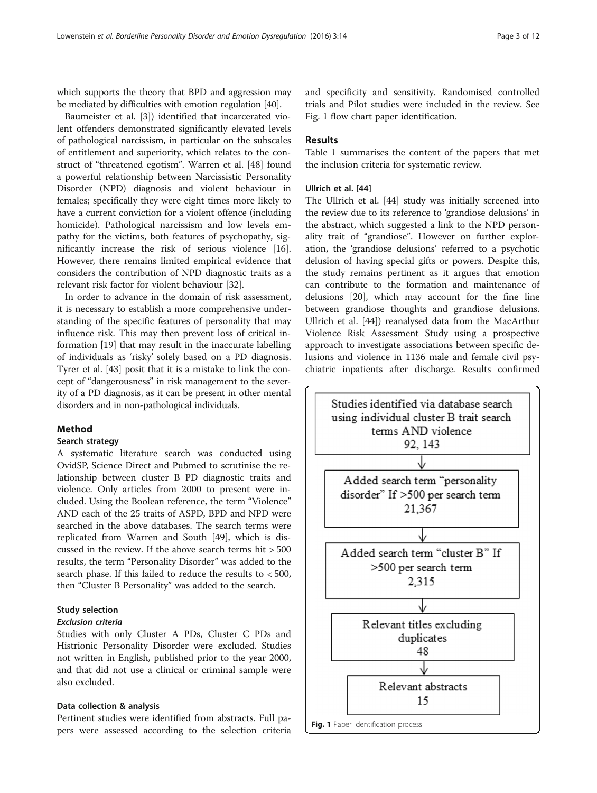which supports the theory that BPD and aggression may be mediated by difficulties with emotion regulation [\[40\]](#page-11-0).

Baumeister et al. [[3\]](#page-10-0)) identified that incarcerated violent offenders demonstrated significantly elevated levels of pathological narcissism, in particular on the subscales of entitlement and superiority, which relates to the construct of "threatened egotism". Warren et al. [[48\]](#page-11-0) found a powerful relationship between Narcissistic Personality Disorder (NPD) diagnosis and violent behaviour in females; specifically they were eight times more likely to have a current conviction for a violent offence (including homicide). Pathological narcissism and low levels empathy for the victims, both features of psychopathy, significantly increase the risk of serious violence [\[16](#page-10-0)]. However, there remains limited empirical evidence that considers the contribution of NPD diagnostic traits as a relevant risk factor for violent behaviour [[32](#page-10-0)].

In order to advance in the domain of risk assessment, it is necessary to establish a more comprehensive understanding of the specific features of personality that may influence risk. This may then prevent loss of critical information [\[19](#page-10-0)] that may result in the inaccurate labelling of individuals as 'risky' solely based on a PD diagnosis. Tyrer et al. [[43](#page-11-0)] posit that it is a mistake to link the concept of "dangerousness" in risk management to the severity of a PD diagnosis, as it can be present in other mental disorders and in non-pathological individuals.

## Method

## Search strategy

A systematic literature search was conducted using OvidSP, Science Direct and Pubmed to scrutinise the relationship between cluster B PD diagnostic traits and violence. Only articles from 2000 to present were included. Using the Boolean reference, the term "Violence" AND each of the 25 traits of ASPD, BPD and NPD were searched in the above databases. The search terms were replicated from Warren and South [[49\]](#page-11-0), which is discussed in the review. If the above search terms hit > 500 results, the term "Personality Disorder" was added to the search phase. If this failed to reduce the results to < 500, then "Cluster B Personality" was added to the search.

## Study selection

## Exclusion criteria

Studies with only Cluster A PDs, Cluster C PDs and Histrionic Personality Disorder were excluded. Studies not written in English, published prior to the year 2000, and that did not use a clinical or criminal sample were also excluded.

## Data collection & analysis

Pertinent studies were identified from abstracts. Full papers were assessed according to the selection criteria

and specificity and sensitivity. Randomised controlled trials and Pilot studies were included in the review. See Fig. 1 flow chart paper identification.

## **Results**

Table [1](#page-3-0) summarises the content of the papers that met the inclusion criteria for systematic review.

## Ullrich et al. [\[44\]](#page-11-0)

The Ullrich et al. [[44](#page-11-0)] study was initially screened into the review due to its reference to 'grandiose delusions' in the abstract, which suggested a link to the NPD personality trait of "grandiose". However on further exploration, the 'grandiose delusions' referred to a psychotic delusion of having special gifts or powers. Despite this, the study remains pertinent as it argues that emotion can contribute to the formation and maintenance of delusions [\[20\]](#page-10-0), which may account for the fine line between grandiose thoughts and grandiose delusions. Ullrich et al. [\[44](#page-11-0)]) reanalysed data from the MacArthur Violence Risk Assessment Study using a prospective approach to investigate associations between specific delusions and violence in 1136 male and female civil psychiatric inpatients after discharge. Results confirmed

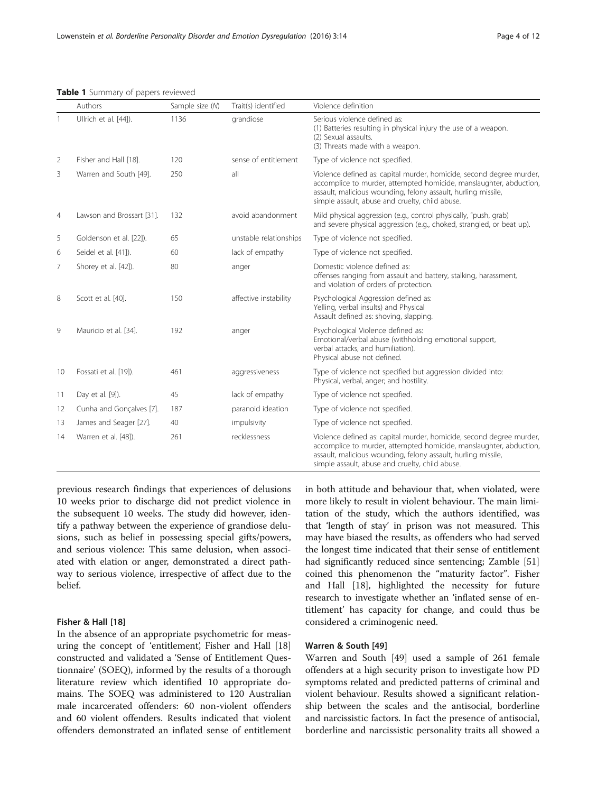<span id="page-3-0"></span>Table 1 Summary of papers reviewed

|                | Authors                   | Sample size (N) | Trait(s) identified    | Violence definition                                                                                                                                                                                                                                            |
|----------------|---------------------------|-----------------|------------------------|----------------------------------------------------------------------------------------------------------------------------------------------------------------------------------------------------------------------------------------------------------------|
|                | Ullrich et al. [44]).     | 1136            | grandiose              | Serious violence defined as:<br>(1) Batteries resulting in physical injury the use of a weapon.<br>(2) Sexual assaults.<br>(3) Threats made with a weapon.                                                                                                     |
| 2              | Fisher and Hall [18].     | 120             | sense of entitlement   | Type of violence not specified.                                                                                                                                                                                                                                |
| 3              | Warren and South [49].    | 250             | all                    | Violence defined as: capital murder, homicide, second degree murder,<br>accomplice to murder, attempted homicide, manslaughter, abduction,<br>assault, malicious wounding, felony assault, hurling missile,<br>simple assault, abuse and cruelty, child abuse. |
| $\overline{4}$ | Lawson and Brossart [31]. | 132             | avoid abandonment      | Mild physical aggression (e.g., control physically, "push, grab)<br>and severe physical aggression (e.g., choked, strangled, or beat up).                                                                                                                      |
| 5              | Goldenson et al. [22]).   | 65              | unstable relationships | Type of violence not specified.                                                                                                                                                                                                                                |
| 6              | Seidel et al. [41]).      | 60              | lack of empathy        | Type of violence not specified.                                                                                                                                                                                                                                |
| 7              | Shorey et al. [42]).      | 80              | anger                  | Domestic violence defined as:<br>offenses ranging from assault and battery, stalking, harassment,<br>and violation of orders of protection.                                                                                                                    |
| 8              | Scott et al. [40].        | 150             | affective instability  | Psychological Aggression defined as:<br>Yelling, verbal insults) and Physical<br>Assault defined as: shoving, slapping.                                                                                                                                        |
| 9              | Mauricio et al. [34].     | 192             | anger                  | Psychological Violence defined as:<br>Emotional/verbal abuse (withholding emotional support,<br>verbal attacks, and humiliation).<br>Physical abuse not defined.                                                                                               |
| 10             | Fossati et al. [19]).     | 461             | aggressiveness         | Type of violence not specified but aggression divided into:<br>Physical, verbal, anger; and hostility.                                                                                                                                                         |
| 11             | Day et al. [9]).          | 45              | lack of empathy        | Type of violence not specified.                                                                                                                                                                                                                                |
| 12             | Cunha and Gonçalves [7].  | 187             | paranoid ideation      | Type of violence not specified.                                                                                                                                                                                                                                |
| 13             | James and Seager [27].    | 40              | impulsivity            | Type of violence not specified.                                                                                                                                                                                                                                |
| 14             | Warren et al. [48]).      | 261             | recklessness           | Violence defined as: capital murder, homicide, second degree murder,<br>accomplice to murder, attempted homicide, manslaughter, abduction,<br>assault, malicious wounding, felony assault, hurling missile,<br>simple assault, abuse and cruelty, child abuse. |

previous research findings that experiences of delusions 10 weeks prior to discharge did not predict violence in the subsequent 10 weeks. The study did however, identify a pathway between the experience of grandiose delusions, such as belief in possessing special gifts/powers, and serious violence: This same delusion, when associated with elation or anger, demonstrated a direct pathway to serious violence, irrespective of affect due to the belief.

## Fisher & Hall [[18\]](#page-10-0)

In the absence of an appropriate psychometric for measuring the concept of 'entitlement', Fisher and Hall [[18](#page-10-0)] constructed and validated a 'Sense of Entitlement Questionnaire' (SOEQ), informed by the results of a thorough literature review which identified 10 appropriate domains. The SOEQ was administered to 120 Australian male incarcerated offenders: 60 non-violent offenders and 60 violent offenders. Results indicated that violent offenders demonstrated an inflated sense of entitlement in both attitude and behaviour that, when violated, were more likely to result in violent behaviour. The main limitation of the study, which the authors identified, was that 'length of stay' in prison was not measured. This may have biased the results, as offenders who had served the longest time indicated that their sense of entitlement had significantly reduced since sentencing; Zamble [[51](#page-11-0)] coined this phenomenon the "maturity factor". Fisher and Hall [[18\]](#page-10-0), highlighted the necessity for future research to investigate whether an 'inflated sense of entitlement' has capacity for change, and could thus be considered a criminogenic need.

## Warren & South [[49\]](#page-11-0)

Warren and South [[49](#page-11-0)] used a sample of 261 female offenders at a high security prison to investigate how PD symptoms related and predicted patterns of criminal and violent behaviour. Results showed a significant relationship between the scales and the antisocial, borderline and narcissistic factors. In fact the presence of antisocial, borderline and narcissistic personality traits all showed a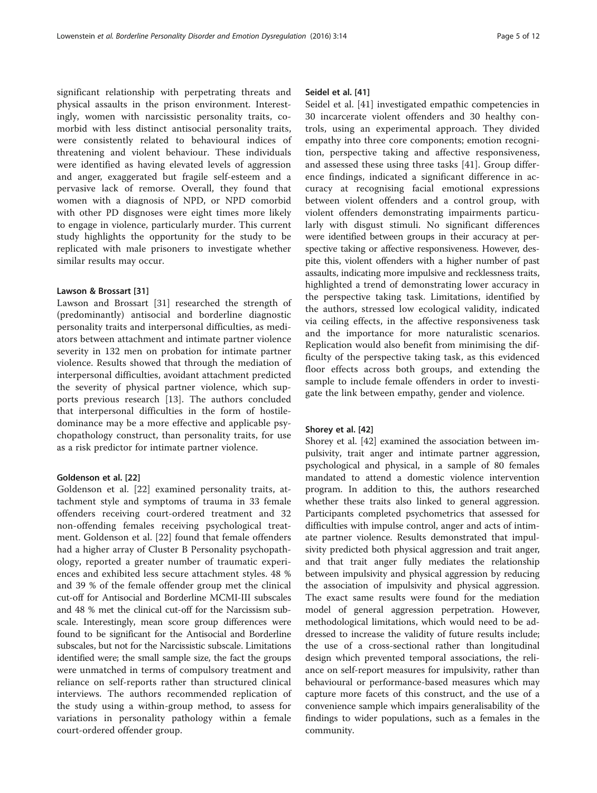significant relationship with perpetrating threats and physical assaults in the prison environment. Interestingly, women with narcissistic personality traits, comorbid with less distinct antisocial personality traits, were consistently related to behavioural indices of threatening and violent behaviour. These individuals were identified as having elevated levels of aggression and anger, exaggerated but fragile self-esteem and a pervasive lack of remorse. Overall, they found that women with a diagnosis of NPD, or NPD comorbid with other PD disgnoses were eight times more likely to engage in violence, particularly murder. This current study highlights the opportunity for the study to be replicated with male prisoners to investigate whether similar results may occur.

#### Lawson & Brossart [\[31\]](#page-10-0)

Lawson and Brossart [[31\]](#page-10-0) researched the strength of (predominantly) antisocial and borderline diagnostic personality traits and interpersonal difficulties, as mediators between attachment and intimate partner violence severity in 132 men on probation for intimate partner violence. Results showed that through the mediation of interpersonal difficulties, avoidant attachment predicted the severity of physical partner violence, which supports previous research [[13](#page-10-0)]. The authors concluded that interpersonal difficulties in the form of hostiledominance may be a more effective and applicable psychopathology construct, than personality traits, for use as a risk predictor for intimate partner violence.

## Goldenson et al. [\[22](#page-10-0)]

Goldenson et al. [[22\]](#page-10-0) examined personality traits, attachment style and symptoms of trauma in 33 female offenders receiving court-ordered treatment and 32 non-offending females receiving psychological treatment. Goldenson et al. [\[22](#page-10-0)] found that female offenders had a higher array of Cluster B Personality psychopathology, reported a greater number of traumatic experiences and exhibited less secure attachment styles. 48 % and 39 % of the female offender group met the clinical cut-off for Antisocial and Borderline MCMI-III subscales and 48 % met the clinical cut-off for the Narcissism subscale. Interestingly, mean score group differences were found to be significant for the Antisocial and Borderline subscales, but not for the Narcissistic subscale. Limitations identified were; the small sample size, the fact the groups were unmatched in terms of compulsory treatment and reliance on self-reports rather than structured clinical interviews. The authors recommended replication of the study using a within-group method, to assess for variations in personality pathology within a female court-ordered offender group.

#### Seidel et al. [[41](#page-11-0)]

Seidel et al. [[41\]](#page-11-0) investigated empathic competencies in 30 incarcerate violent offenders and 30 healthy controls, using an experimental approach. They divided empathy into three core components; emotion recognition, perspective taking and affective responsiveness, and assessed these using three tasks [[41\]](#page-11-0). Group difference findings, indicated a significant difference in accuracy at recognising facial emotional expressions between violent offenders and a control group, with violent offenders demonstrating impairments particularly with disgust stimuli. No significant differences were identified between groups in their accuracy at perspective taking or affective responsiveness. However, despite this, violent offenders with a higher number of past assaults, indicating more impulsive and recklessness traits, highlighted a trend of demonstrating lower accuracy in the perspective taking task. Limitations, identified by the authors, stressed low ecological validity, indicated via ceiling effects, in the affective responsiveness task and the importance for more naturalistic scenarios. Replication would also benefit from minimising the difficulty of the perspective taking task, as this evidenced floor effects across both groups, and extending the sample to include female offenders in order to investigate the link between empathy, gender and violence.

#### Shorey et al. [\[42\]](#page-11-0)

Shorey et al. [[42\]](#page-11-0) examined the association between impulsivity, trait anger and intimate partner aggression, psychological and physical, in a sample of 80 females mandated to attend a domestic violence intervention program. In addition to this, the authors researched whether these traits also linked to general aggression. Participants completed psychometrics that assessed for difficulties with impulse control, anger and acts of intimate partner violence. Results demonstrated that impulsivity predicted both physical aggression and trait anger, and that trait anger fully mediates the relationship between impulsivity and physical aggression by reducing the association of impulsivity and physical aggression. The exact same results were found for the mediation model of general aggression perpetration. However, methodological limitations, which would need to be addressed to increase the validity of future results include; the use of a cross-sectional rather than longitudinal design which prevented temporal associations, the reliance on self-report measures for impulsivity, rather than behavioural or performance-based measures which may capture more facets of this construct, and the use of a convenience sample which impairs generalisability of the findings to wider populations, such as a females in the community.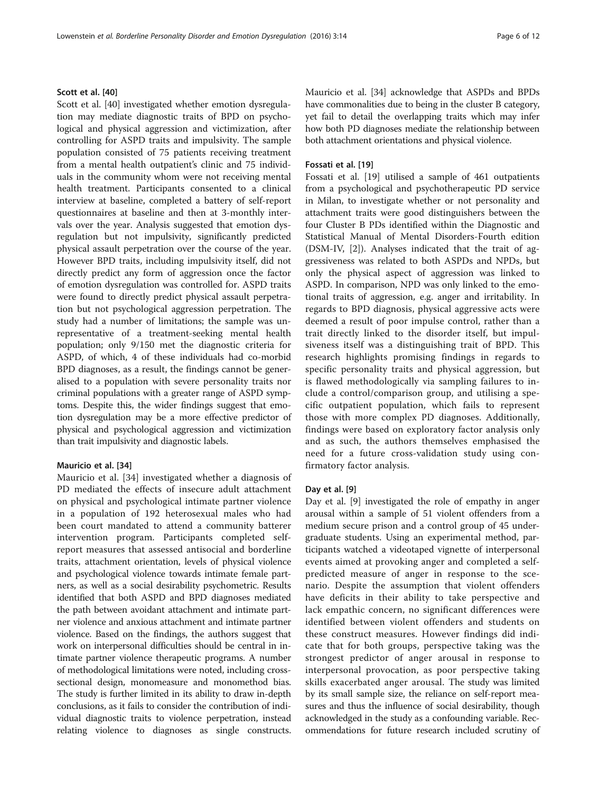Scott et al. [\[40\]](#page-11-0) investigated whether emotion dysregulation may mediate diagnostic traits of BPD on psychological and physical aggression and victimization, after controlling for ASPD traits and impulsivity. The sample population consisted of 75 patients receiving treatment from a mental health outpatient's clinic and 75 individuals in the community whom were not receiving mental health treatment. Participants consented to a clinical interview at baseline, completed a battery of self-report questionnaires at baseline and then at 3-monthly intervals over the year. Analysis suggested that emotion dysregulation but not impulsivity, significantly predicted physical assault perpetration over the course of the year. However BPD traits, including impulsivity itself, did not directly predict any form of aggression once the factor of emotion dysregulation was controlled for. ASPD traits were found to directly predict physical assault perpetration but not psychological aggression perpetration. The study had a number of limitations; the sample was unrepresentative of a treatment-seeking mental health population; only 9/150 met the diagnostic criteria for ASPD, of which, 4 of these individuals had co-morbid BPD diagnoses, as a result, the findings cannot be generalised to a population with severe personality traits nor criminal populations with a greater range of ASPD symptoms. Despite this, the wider findings suggest that emotion dysregulation may be a more effective predictor of physical and psychological aggression and victimization than trait impulsivity and diagnostic labels.

#### Mauricio et al. [\[34\]](#page-10-0)

Mauricio et al. [[34\]](#page-10-0) investigated whether a diagnosis of PD mediated the effects of insecure adult attachment on physical and psychological intimate partner violence in a population of 192 heterosexual males who had been court mandated to attend a community batterer intervention program. Participants completed selfreport measures that assessed antisocial and borderline traits, attachment orientation, levels of physical violence and psychological violence towards intimate female partners, as well as a social desirability psychometric. Results identified that both ASPD and BPD diagnoses mediated the path between avoidant attachment and intimate partner violence and anxious attachment and intimate partner violence. Based on the findings, the authors suggest that work on interpersonal difficulties should be central in intimate partner violence therapeutic programs. A number of methodological limitations were noted, including crosssectional design, monomeasure and monomethod bias. The study is further limited in its ability to draw in-depth conclusions, as it fails to consider the contribution of individual diagnostic traits to violence perpetration, instead relating violence to diagnoses as single constructs. Mauricio et al. [\[34\]](#page-10-0) acknowledge that ASPDs and BPDs have commonalities due to being in the cluster B category, yet fail to detail the overlapping traits which may infer how both PD diagnoses mediate the relationship between both attachment orientations and physical violence.

## Fossati et al. [\[19\]](#page-10-0)

Fossati et al. [\[19](#page-10-0)] utilised a sample of 461 outpatients from a psychological and psychotherapeutic PD service in Milan, to investigate whether or not personality and attachment traits were good distinguishers between the four Cluster B PDs identified within the Diagnostic and Statistical Manual of Mental Disorders-Fourth edition (DSM-IV, [[2\]](#page-10-0)). Analyses indicated that the trait of aggressiveness was related to both ASPDs and NPDs, but only the physical aspect of aggression was linked to ASPD. In comparison, NPD was only linked to the emotional traits of aggression, e.g. anger and irritability. In regards to BPD diagnosis, physical aggressive acts were deemed a result of poor impulse control, rather than a trait directly linked to the disorder itself, but impulsiveness itself was a distinguishing trait of BPD. This research highlights promising findings in regards to specific personality traits and physical aggression, but is flawed methodologically via sampling failures to include a control/comparison group, and utilising a specific outpatient population, which fails to represent those with more complex PD diagnoses. Additionally, findings were based on exploratory factor analysis only and as such, the authors themselves emphasised the need for a future cross-validation study using confirmatory factor analysis.

#### Day et al. [\[9\]](#page-10-0)

Day et al. [\[9](#page-10-0)] investigated the role of empathy in anger arousal within a sample of 51 violent offenders from a medium secure prison and a control group of 45 undergraduate students. Using an experimental method, participants watched a videotaped vignette of interpersonal events aimed at provoking anger and completed a selfpredicted measure of anger in response to the scenario. Despite the assumption that violent offenders have deficits in their ability to take perspective and lack empathic concern, no significant differences were identified between violent offenders and students on these construct measures. However findings did indicate that for both groups, perspective taking was the strongest predictor of anger arousal in response to interpersonal provocation, as poor perspective taking skills exacerbated anger arousal. The study was limited by its small sample size, the reliance on self-report measures and thus the influence of social desirability, though acknowledged in the study as a confounding variable. Recommendations for future research included scrutiny of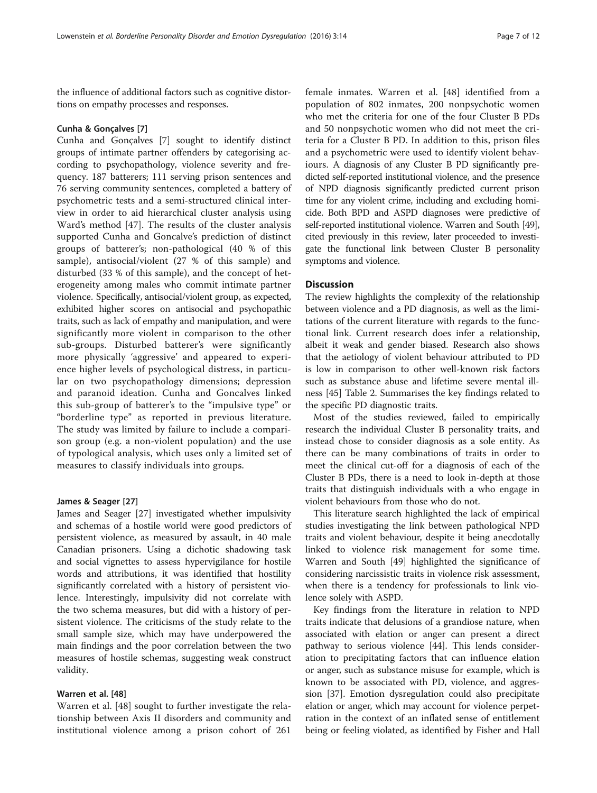the influence of additional factors such as cognitive distortions on empathy processes and responses.

#### Cunha & Gonçalves [[7\]](#page-10-0)

Cunha and Gonçalves [[7\]](#page-10-0) sought to identify distinct groups of intimate partner offenders by categorising according to psychopathology, violence severity and frequency. 187 batterers; 111 serving prison sentences and 76 serving community sentences, completed a battery of psychometric tests and a semi-structured clinical interview in order to aid hierarchical cluster analysis using Ward's method [[47](#page-11-0)]. The results of the cluster analysis supported Cunha and Goncalve's prediction of distinct groups of batterer's; non-pathological (40 % of this sample), antisocial/violent (27 % of this sample) and disturbed (33 % of this sample), and the concept of heterogeneity among males who commit intimate partner violence. Specifically, antisocial/violent group, as expected, exhibited higher scores on antisocial and psychopathic traits, such as lack of empathy and manipulation, and were significantly more violent in comparison to the other sub-groups. Disturbed batterer's were significantly more physically 'aggressive' and appeared to experience higher levels of psychological distress, in particular on two psychopathology dimensions; depression and paranoid ideation. Cunha and Goncalves linked this sub-group of batterer's to the "impulsive type" or "borderline type" as reported in previous literature. The study was limited by failure to include a comparison group (e.g. a non-violent population) and the use of typological analysis, which uses only a limited set of measures to classify individuals into groups.

#### James & Seager [\[27](#page-10-0)]

James and Seager [\[27](#page-10-0)] investigated whether impulsivity and schemas of a hostile world were good predictors of persistent violence, as measured by assault, in 40 male Canadian prisoners. Using a dichotic shadowing task and social vignettes to assess hypervigilance for hostile words and attributions, it was identified that hostility significantly correlated with a history of persistent violence. Interestingly, impulsivity did not correlate with the two schema measures, but did with a history of persistent violence. The criticisms of the study relate to the small sample size, which may have underpowered the main findings and the poor correlation between the two measures of hostile schemas, suggesting weak construct validity.

## Warren et al. [[48](#page-11-0)]

Warren et al. [[48\]](#page-11-0) sought to further investigate the relationship between Axis II disorders and community and institutional violence among a prison cohort of 261

female inmates. Warren et al. [[48\]](#page-11-0) identified from a population of 802 inmates, 200 nonpsychotic women who met the criteria for one of the four Cluster B PDs and 50 nonpsychotic women who did not meet the criteria for a Cluster B PD. In addition to this, prison files and a psychometric were used to identify violent behaviours. A diagnosis of any Cluster B PD significantly predicted self-reported institutional violence, and the presence of NPD diagnosis significantly predicted current prison time for any violent crime, including and excluding homicide. Both BPD and ASPD diagnoses were predictive of self-reported institutional violence. Warren and South [\[49](#page-11-0)], cited previously in this review, later proceeded to investigate the functional link between Cluster B personality symptoms and violence.

## **Discussion**

The review highlights the complexity of the relationship between violence and a PD diagnosis, as well as the limitations of the current literature with regards to the functional link. Current research does infer a relationship, albeit it weak and gender biased. Research also shows that the aetiology of violent behaviour attributed to PD is low in comparison to other well-known risk factors such as substance abuse and lifetime severe mental illness [\[45](#page-11-0)] Table [2](#page-7-0). Summarises the key findings related to the specific PD diagnostic traits.

Most of the studies reviewed, failed to empirically research the individual Cluster B personality traits, and instead chose to consider diagnosis as a sole entity. As there can be many combinations of traits in order to meet the clinical cut-off for a diagnosis of each of the Cluster B PDs, there is a need to look in-depth at those traits that distinguish individuals with a who engage in violent behaviours from those who do not.

This literature search highlighted the lack of empirical studies investigating the link between pathological NPD traits and violent behaviour, despite it being anecdotally linked to violence risk management for some time. Warren and South [[49](#page-11-0)] highlighted the significance of considering narcissistic traits in violence risk assessment, when there is a tendency for professionals to link violence solely with ASPD.

Key findings from the literature in relation to NPD traits indicate that delusions of a grandiose nature, when associated with elation or anger can present a direct pathway to serious violence [\[44](#page-11-0)]. This lends consideration to precipitating factors that can influence elation or anger, such as substance misuse for example, which is known to be associated with PD, violence, and aggression [\[37](#page-11-0)]. Emotion dysregulation could also precipitate elation or anger, which may account for violence perpetration in the context of an inflated sense of entitlement being or feeling violated, as identified by Fisher and Hall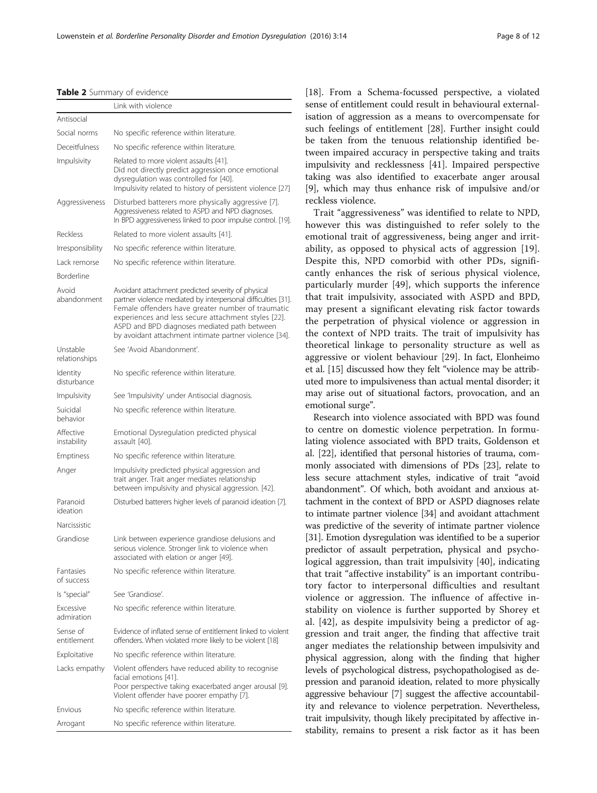<span id="page-7-0"></span>

|  |  | Table 2 Summary of evidence |  |  |
|--|--|-----------------------------|--|--|
|--|--|-----------------------------|--|--|

|                                       | Link with violence                                                                                                                                                                                                                                                                                                                        |  |  |
|---------------------------------------|-------------------------------------------------------------------------------------------------------------------------------------------------------------------------------------------------------------------------------------------------------------------------------------------------------------------------------------------|--|--|
| Antisocial                            |                                                                                                                                                                                                                                                                                                                                           |  |  |
| Social norms                          | No specific reference within literature.                                                                                                                                                                                                                                                                                                  |  |  |
| Deceitfulness                         | No specific reference within literature.                                                                                                                                                                                                                                                                                                  |  |  |
| Impulsivity                           | Related to more violent assaults [41].<br>Did not directly predict aggression once emotional<br>dysregulation was controlled for [40].<br>Impulsivity related to history of persistent violence [27]                                                                                                                                      |  |  |
| Aggressiveness                        | Disturbed batterers more physically aggressive [7].<br>Aggressiveness related to ASPD and NPD diagnoses.<br>In BPD aggressiveness linked to poor impulse control. [19].                                                                                                                                                                   |  |  |
| Reckless                              | Related to more violent assaults [41].                                                                                                                                                                                                                                                                                                    |  |  |
| <i><u><b>Irresponsibility</b></u></i> | No specific reference within literature.                                                                                                                                                                                                                                                                                                  |  |  |
| Lack remorse                          | No specific reference within literature.                                                                                                                                                                                                                                                                                                  |  |  |
| Borderline                            |                                                                                                                                                                                                                                                                                                                                           |  |  |
| Avoid<br>abandonment                  | Avoidant attachment predicted severity of physical<br>partner violence mediated by interpersonal difficulties [31].<br>Female offenders have greater number of traumatic<br>experiences and less secure attachment styles [22].<br>ASPD and BPD diagnoses mediated path between<br>by avoidant attachment intimate partner violence [34]. |  |  |
| Unstable<br>relationships             | See 'Avoid Abandonment'.                                                                                                                                                                                                                                                                                                                  |  |  |
| Identity<br>disturbance               | No specific reference within literature.                                                                                                                                                                                                                                                                                                  |  |  |
| Impulsivity                           | See 'Impulsivity' under Antisocial diagnosis.                                                                                                                                                                                                                                                                                             |  |  |
| Suicidal<br>behavior                  | No specific reference within literature.                                                                                                                                                                                                                                                                                                  |  |  |
| Affective<br>instability              | Emotional Dysregulation predicted physical<br>assault [40].                                                                                                                                                                                                                                                                               |  |  |
| Emptiness                             | No specific reference within literature.                                                                                                                                                                                                                                                                                                  |  |  |
| Anger                                 | Impulsivity predicted physical aggression and<br>trait anger. Trait anger mediates relationship<br>between impulsivity and physical aggression. [42].                                                                                                                                                                                     |  |  |
| Paranoid<br>ideation                  | Disturbed batterers higher levels of paranoid ideation [7].                                                                                                                                                                                                                                                                               |  |  |
| Narcissistic                          |                                                                                                                                                                                                                                                                                                                                           |  |  |
| Grandiose                             | Link between experience grandiose delusions and<br>serious violence. Stronger link to violence when<br>associated with elation or anger [49].                                                                                                                                                                                             |  |  |
| Fantasies<br>of success               | No specific reference within literature.                                                                                                                                                                                                                                                                                                  |  |  |
| Is "special"                          | See 'Grandiose'.                                                                                                                                                                                                                                                                                                                          |  |  |
| Excessive<br>admiration               | No specific reference within literature.                                                                                                                                                                                                                                                                                                  |  |  |
| Sense of<br>entitlement               | Evidence of inflated sense of entitlement linked to violent<br>offenders. When violated more likely to be violent [18]                                                                                                                                                                                                                    |  |  |
| Exploitative                          | No specific reference within literature.                                                                                                                                                                                                                                                                                                  |  |  |
| Lacks empathy                         | Violent offenders have reduced ability to recognise<br>facial emotions [41].<br>Poor perspective taking exacerbated anger arousal [9].<br>Violent offender have poorer empathy [7].                                                                                                                                                       |  |  |
| Envious                               | No specific reference within literature.                                                                                                                                                                                                                                                                                                  |  |  |
| Arrogant                              | No specific reference within literature.                                                                                                                                                                                                                                                                                                  |  |  |

[[18\]](#page-10-0). From a Schema-focussed perspective, a violated sense of entitlement could result in behavioural externalisation of aggression as a means to overcompensate for such feelings of entitlement [[28](#page-10-0)]. Further insight could be taken from the tenuous relationship identified between impaired accuracy in perspective taking and traits impulsivity and recklessness [\[41](#page-11-0)]. Impaired perspective taking was also identified to exacerbate anger arousal [[9\]](#page-10-0), which may thus enhance risk of impulsive and/or reckless violence.

Trait "aggressiveness" was identified to relate to NPD, however this was distinguished to refer solely to the emotional trait of aggressiveness, being anger and irritability, as opposed to physical acts of aggression [\[19](#page-10-0)]. Despite this, NPD comorbid with other PDs, significantly enhances the risk of serious physical violence, particularly murder [\[49\]](#page-11-0), which supports the inference that trait impulsivity, associated with ASPD and BPD, may present a significant elevating risk factor towards the perpetration of physical violence or aggression in the context of NPD traits. The trait of impulsivity has theoretical linkage to personality structure as well as aggressive or violent behaviour [[29\]](#page-10-0). In fact, Elonheimo et al. [\[15\]](#page-10-0) discussed how they felt "violence may be attributed more to impulsiveness than actual mental disorder; it may arise out of situational factors, provocation, and an emotional surge".

Research into violence associated with BPD was found to centre on domestic violence perpetration. In formulating violence associated with BPD traits, Goldenson et al. [[22](#page-10-0)], identified that personal histories of trauma, commonly associated with dimensions of PDs [\[23\]](#page-10-0), relate to less secure attachment styles, indicative of trait "avoid abandonment". Of which, both avoidant and anxious attachment in the context of BPD or ASPD diagnoses relate to intimate partner violence [\[34\]](#page-10-0) and avoidant attachment was predictive of the severity of intimate partner violence [[31](#page-10-0)]. Emotion dysregulation was identified to be a superior predictor of assault perpetration, physical and psychological aggression, than trait impulsivity [[40\]](#page-11-0), indicating that trait "affective instability" is an important contributory factor to interpersonal difficulties and resultant violence or aggression. The influence of affective instability on violence is further supported by Shorey et al. [\[42](#page-11-0)], as despite impulsivity being a predictor of aggression and trait anger, the finding that affective trait anger mediates the relationship between impulsivity and physical aggression, along with the finding that higher levels of psychological distress, psychopathologised as depression and paranoid ideation, related to more physically aggressive behaviour [[7](#page-10-0)] suggest the affective accountability and relevance to violence perpetration. Nevertheless, trait impulsivity, though likely precipitated by affective instability, remains to present a risk factor as it has been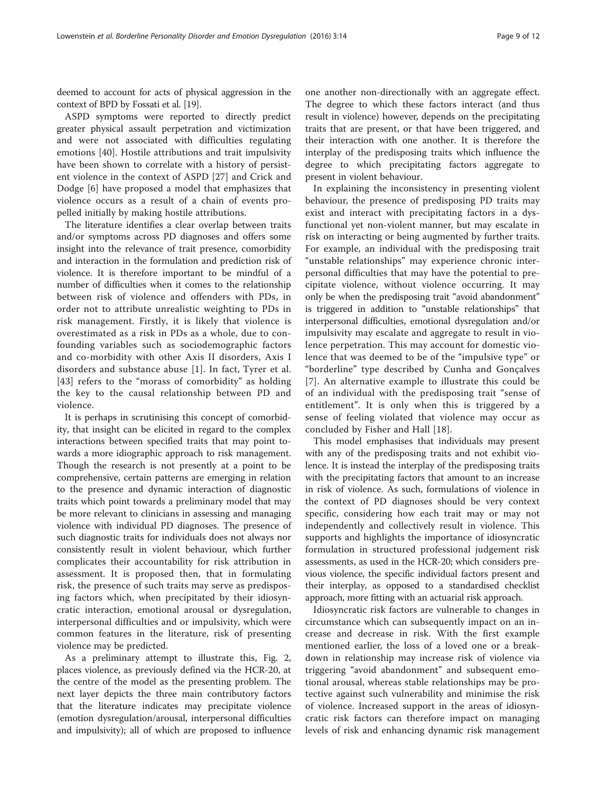deemed to account for acts of physical aggression in the context of BPD by Fossati et al. [\[19\]](#page-10-0).

ASPD symptoms were reported to directly predict greater physical assault perpetration and victimization and were not associated with difficulties regulating emotions [[40\]](#page-11-0). Hostile attributions and trait impulsivity have been shown to correlate with a history of persistent violence in the context of ASPD [[27\]](#page-10-0) and Crick and Dodge [\[6](#page-10-0)] have proposed a model that emphasizes that violence occurs as a result of a chain of events propelled initially by making hostile attributions.

The literature identifies a clear overlap between traits and/or symptoms across PD diagnoses and offers some insight into the relevance of trait presence, comorbidity and interaction in the formulation and prediction risk of violence. It is therefore important to be mindful of a number of difficulties when it comes to the relationship between risk of violence and offenders with PDs, in order not to attribute unrealistic weighting to PDs in risk management. Firstly, it is likely that violence is overestimated as a risk in PDs as a whole, due to confounding variables such as sociodemographic factors and co-morbidity with other Axis II disorders, Axis I disorders and substance abuse [\[1\]](#page-10-0). In fact, Tyrer et al. [[43](#page-11-0)] refers to the "morass of comorbidity" as holding the key to the causal relationship between PD and violence.

It is perhaps in scrutinising this concept of comorbidity, that insight can be elicited in regard to the complex interactions between specified traits that may point towards a more idiographic approach to risk management. Though the research is not presently at a point to be comprehensive, certain patterns are emerging in relation to the presence and dynamic interaction of diagnostic traits which point towards a preliminary model that may be more relevant to clinicians in assessing and managing violence with individual PD diagnoses. The presence of such diagnostic traits for individuals does not always nor consistently result in violent behaviour, which further complicates their accountability for risk attribution in assessment. It is proposed then, that in formulating risk, the presence of such traits may serve as predisposing factors which, when precipitated by their idiosyncratic interaction, emotional arousal or dysregulation, interpersonal difficulties and or impulsivity, which were common features in the literature, risk of presenting violence may be predicted.

As a preliminary attempt to illustrate this, Fig. [2](#page-9-0), places violence, as previously defined via the HCR-20, at the centre of the model as the presenting problem. The next layer depicts the three main contributory factors that the literature indicates may precipitate violence (emotion dysregulation/arousal, interpersonal difficulties and impulsivity); all of which are proposed to influence

one another non-directionally with an aggregate effect. The degree to which these factors interact (and thus result in violence) however, depends on the precipitating traits that are present, or that have been triggered, and their interaction with one another. It is therefore the interplay of the predisposing traits which influence the degree to which precipitating factors aggregate to present in violent behaviour.

In explaining the inconsistency in presenting violent behaviour, the presence of predisposing PD traits may exist and interact with precipitating factors in a dysfunctional yet non-violent manner, but may escalate in risk on interacting or being augmented by further traits. For example, an individual with the predisposing trait "unstable relationships" may experience chronic interpersonal difficulties that may have the potential to precipitate violence, without violence occurring. It may only be when the predisposing trait "avoid abandonment" is triggered in addition to "unstable relationships" that interpersonal difficulties, emotional dysregulation and/or impulsivity may escalate and aggregate to result in violence perpetration. This may account for domestic violence that was deemed to be of the "impulsive type" or "borderline" type described by Cunha and Gonçalves [[7](#page-10-0)]. An alternative example to illustrate this could be of an individual with the predisposing trait "sense of entitlement". It is only when this is triggered by a sense of feeling violated that violence may occur as concluded by Fisher and Hall [[18\]](#page-10-0).

This model emphasises that individuals may present with any of the predisposing traits and not exhibit violence. It is instead the interplay of the predisposing traits with the precipitating factors that amount to an increase in risk of violence. As such, formulations of violence in the context of PD diagnoses should be very context specific, considering how each trait may or may not independently and collectively result in violence. This supports and highlights the importance of idiosyncratic formulation in structured professional judgement risk assessments, as used in the HCR-20; which considers previous violence, the specific individual factors present and their interplay, as opposed to a standardised checklist approach, more fitting with an actuarial risk approach.

Idiosyncratic risk factors are vulnerable to changes in circumstance which can subsequently impact on an increase and decrease in risk. With the first example mentioned earlier, the loss of a loved one or a breakdown in relationship may increase risk of violence via triggering "avoid abandonment" and subsequent emotional arousal, whereas stable relationships may be protective against such vulnerability and minimise the risk of violence. Increased support in the areas of idiosyncratic risk factors can therefore impact on managing levels of risk and enhancing dynamic risk management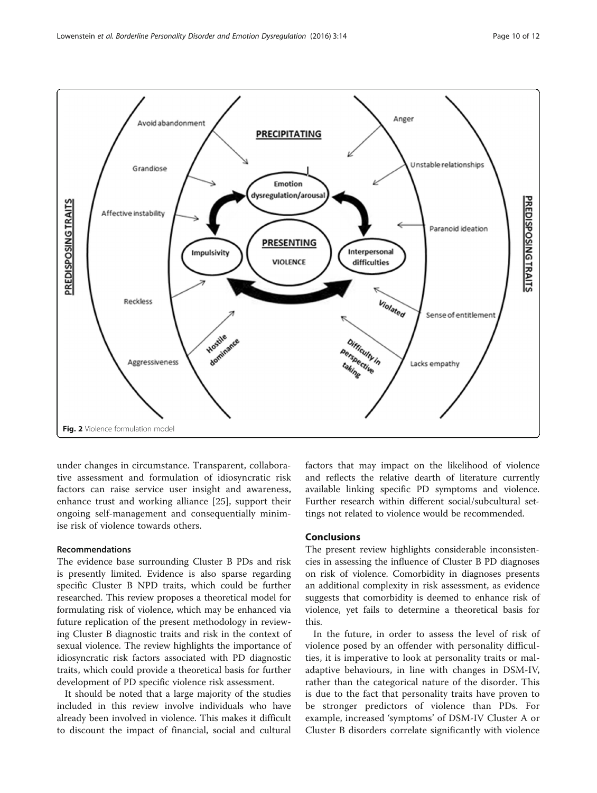<span id="page-9-0"></span>

under changes in circumstance. Transparent, collaborative assessment and formulation of idiosyncratic risk factors can raise service user insight and awareness, enhance trust and working alliance [\[25](#page-10-0)], support their ongoing self-management and consequentially minimise risk of violence towards others.

#### Recommendations

The evidence base surrounding Cluster B PDs and risk is presently limited. Evidence is also sparse regarding specific Cluster B NPD traits, which could be further researched. This review proposes a theoretical model for formulating risk of violence, which may be enhanced via future replication of the present methodology in reviewing Cluster B diagnostic traits and risk in the context of sexual violence. The review highlights the importance of idiosyncratic risk factors associated with PD diagnostic traits, which could provide a theoretical basis for further development of PD specific violence risk assessment.

It should be noted that a large majority of the studies included in this review involve individuals who have already been involved in violence. This makes it difficult to discount the impact of financial, social and cultural factors that may impact on the likelihood of violence and reflects the relative dearth of literature currently available linking specific PD symptoms and violence. Further research within different social/subcultural settings not related to violence would be recommended.

## Conclusions

The present review highlights considerable inconsistencies in assessing the influence of Cluster B PD diagnoses on risk of violence. Comorbidity in diagnoses presents an additional complexity in risk assessment, as evidence suggests that comorbidity is deemed to enhance risk of violence, yet fails to determine a theoretical basis for this.

In the future, in order to assess the level of risk of violence posed by an offender with personality difficulties, it is imperative to look at personality traits or maladaptive behaviours, in line with changes in DSM-IV, rather than the categorical nature of the disorder. This is due to the fact that personality traits have proven to be stronger predictors of violence than PDs. For example, increased 'symptoms' of DSM-IV Cluster A or Cluster B disorders correlate significantly with violence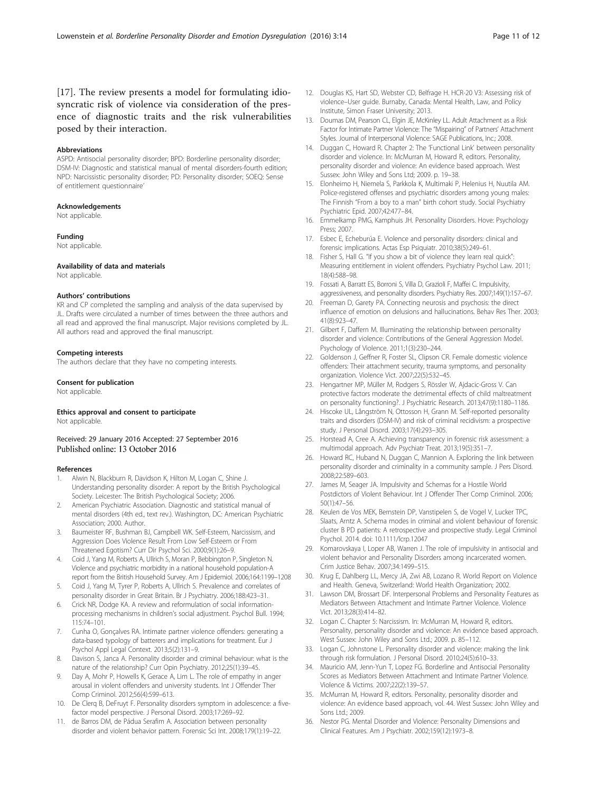<span id="page-10-0"></span>[17]. The review presents a model for formulating idiosyncratic risk of violence via consideration of the presence of diagnostic traits and the risk vulnerabilities posed by their interaction.

#### Abbreviations

ASPD: Antisocial personality disorder; BPD: Borderline personality disorder; DSM-IV: Diagnostic and statistical manual of mental disorders-fourth edition; NPD: Narcissistic personality disorder; PD: Personality disorder; SOEQ: Sense of entitlement questionnaire'

### Acknowledgements

Not applicable.

#### Funding

Not applicable.

#### Availability of data and materials

Not applicable.

## Authors' contributions

KR and CP completed the sampling and analysis of the data supervised by JL. Drafts were circulated a number of times between the three authors and all read and approved the final manuscript. Major revisions completed by JL. All authors read and approved the final manuscript.

#### Competing interests

The authors declare that they have no competing interests.

#### Consent for publication

Not applicable.

# Ethics approval and consent to participate

Not applicable.

Received: 29 January 2016 Accepted: 27 September 2016 Published online: 13 October 2016

#### References

- 1. Alwin N, Blackburn R, Davidson K, Hilton M, Logan C, Shine J. Understanding personality disorder: A report by the British Psychological Society. Leicester: The British Psychological Society; 2006.
- 2. American Psychiatric Association. Diagnostic and statistical manual of mental disorders (4th ed., text rev.). Washington, DC: American Psychiatric Association; 2000. Author.
- 3. Baumeister RF, Bushman BJ, Campbell WK. Self-Esteem, Narcissism, and Aggression Does Violence Result From Low Self-Esteem or From Threatened Egotism? Curr Dir Psychol Sci. 2000;9(1):26–9.
- 4. Coid J, Yang M, Roberts A, Ullrich S, Moran P, Bebbington P, Singleton N. Violence and psychiatric morbidity in a national household population-A report from the British Household Survey. Am J Epidemiol. 2006;164:1199–1208
- 5. Coid J, Yang M, Tyrer P, Roberts A, Ullrich S. Prevalence and correlates of personality disorder in Great Britain. Br J Psychiatry. 2006;188:423–31.
- 6. Crick NR, Dodge KA. A review and reformulation of social informationprocessing mechanisms in children's social adjustment. Psychol Bull. 1994; 115:74–101.
- 7. Cunha O, Gonçalves RA. Intimate partner violence offenders: generating a data-based typology of batterers and implications for treatment. Eur J Psychol Appl Legal Context. 2013;5(2):131–9.
- 8. Davison S, Janca A. Personality disorder and criminal behaviour: what is the nature of the relationship? Curr Opin Psychiatry. 2012;25(1):39–45.
- 9. Day A, Mohr P, Howells K, Gerace A, Lim L. The role of empathy in anger arousal in violent offenders and university students. Int J Offender Ther Comp Criminol. 2012;56(4):599–613.
- 10. De Clerq B, DeFruyt F. Personality disorders symptom in adolescence: a fivefactor model perspective. J Personal Disord. 2003;17:269–92.
- 11. de Barros DM, de Pádua Serafim A. Association between personality disorder and violent behavior pattern. Forensic Sci Int. 2008;179(1):19–22.
- 12. Douglas KS, Hart SD, Webster CD, Belfrage H. HCR-20 V3: Assessing risk of violence–User guide. Burnaby, Canada: Mental Health, Law, and Policy Institute, Simon Fraser University; 2013.
- 13. Doumas DM, Pearson CL, Elgin JE, McKinley LL. Adult Attachment as a Risk Factor for Intimate Partner Violence: The "Mispairing" of Partners' Attachment Styles. Journal of Interpersonal Violence: SAGE Publications, Inc.; 2008.
- 14. Duggan C, Howard R. Chapter 2: The 'Functional Link' between personality disorder and violence. In: McMurran M, Howard R, editors. Personality, personality disorder and violence: An evidence based approach. West Sussex: John Wiley and Sons Ltd; 2009. p. 19–38.
- 15. Elonheimo H, Niemela S, Parkkola K, Multimaki P, Helenius H, Nuutila AM. Police-registered offenses and psychiatric disorders among young males: The Finnish "From a boy to a man" birth cohort study. Social Psychiatry Psychiatric Epid. 2007;42:477–84.
- 16. Emmelkamp PMG, Kamphuis JH. Personality Disorders. Hove: Psychology Press; 2007.
- 17. Esbec E, Echeburúa E. Violence and personality disorders: clinical and forensic implications. Actas Esp Psiquiatr. 2010;38(5):249–61.
- 18. Fisher S, Hall G. "If you show a bit of violence they learn real quick": Measuring entitlement in violent offenders. Psychiatry Psychol Law. 2011; 18(4):588–98.
- 19. Fossati A, Barratt ES, Borroni S, Villa D, Grazioli F, Maffei C. Impulsivity, aggressiveness, and personality disorders. Psychiatry Res. 2007;149(1):157–67.
- 20. Freeman D, Garety PA. Connecting neurosis and psychosis: the direct influence of emotion on delusions and hallucinations. Behav Res Ther. 2003; 41(8):923–47.
- 21. Gilbert F, Daffern M. Illuminating the relationship between personality disorder and violence: Contributions of the General Aggression Model. Psychology of Violence. 2011;1(3):230–244.
- 22. Goldenson J, Geffner R, Foster SL, Clipson CR. Female domestic violence offenders: Their attachment security, trauma symptoms, and personality organization. Violence Vict. 2007;22(5):532–45.
- 23. Hengartner MP, Müller M, Rodgers S, Rössler W, Ajdacic-Gross V. Can protective factors moderate the detrimental effects of child maltreatment on personality functioning?. J Psychiatric Research. 2013;47(9):1180–1186.
- 24. Hiscoke UL, Långström N, Ottosson H, Grann M. Self-reported personality traits and disorders (DSM-IV) and risk of criminal recidivism: a prospective study. J Personal Disord. 2003;17(4):293–305.
- 25. Horstead A, Cree A. Achieving transparency in forensic risk assessment: a multimodal approach. Adv Psychiatr Treat. 2013;19(5):351–7.
- 26. Howard RC, Huband N, Duggan C, Mannion A. Exploring the link between personality disorder and criminality in a community sample. J Pers Disord. 2008;22:589–603.
- 27. James M, Seager JA. Impulsivity and Schemas for a Hostile World Postdictors of Violent Behaviour. Int J Offender Ther Comp Criminol. 2006; 50(1):47–56.
- 28. Keulen de Vos MEK, Bernstein DP, Vanstipelen S, de Vogel V, Lucker TPC, Slaats, Arntz A. Schema modes in criminal and violent behaviour of forensic cluster B PD patients: A retrospective and prospective study. Legal Criminol Psychol. 2014. doi: [10.1111/lcrp.12047](http://dx.doi.org/10.1111/lcrp.12047)
- 29. Komarovskaya I, Loper AB, Warren J. The role of impulsivity in antisocial and violent behavior and Personality Disorders among incarcerated women. Crim Justice Behav. 2007;34:1499–515.
- 30. Krug E, Dahlberg LL, Mercy JA, Zwi AB, Lozano R. World Report on Violence and Health. Geneva, Switzerland: World Health Organization; 2002.
- 31. Lawson DM, Brossart DF. Interpersonal Problems and Personality Features as Mediators Between Attachment and Intimate Partner Violence. Violence Vict. 2013;28(3):414–82.
- 32. Logan C. Chapter 5: Narcissism. In: McMurran M, Howard R, editors. Personality, personality disorder and violence: An evidence based approach. West Sussex: John Wiley and Sons Ltd.; 2009. p. 85–112.
- 33. Logan C, Johnstone L. Personality disorder and violence: making the link through risk formulation. J Personal Disord. 2010;24(5):610–33.
- 34. Mauricio AM, Jenn-Yun T, Lopez FG. Borderline and Antisocial Personality Scores as Mediators Between Attachment and Intimate Partner Violence. Violence & Victims. 2007;22(2):139–57.
- 35. McMurran M, Howard R, editors. Personality, personality disorder and violence: An evidence based approach, vol. 44. West Sussex: John Wiley and Sons Ltd.; 2009.
- 36. Nestor PG. Mental Disorder and Violence: Personality Dimensions and Clinical Features. Am J Psychiatr. 2002;159(12):1973–8.